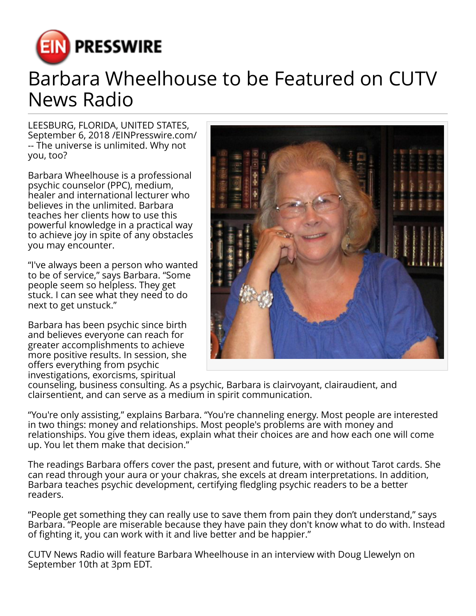

## Barbara Wheelhouse to be Featured on CUTV News Radio

LEESBURG, FLORIDA, UNITED STATES, September 6, 2018 /[EINPresswire.com/](http://www.einpresswire.com) -- The universe is unlimited. Why not you, too?

Barbara Wheelhouse is a professional psychic counselor (PPC), medium, healer and international lecturer who believes in the unlimited. Barbara teaches her clients how to use this powerful knowledge in a practical way to achieve joy in spite of any obstacles you may encounter.

"I've always been a person who wanted to be of service," says Barbara. "Some people seem so helpless. They get stuck. I can see what they need to do next to get unstuck."

Barbara has been psychic since birth and believes everyone can reach for greater accomplishments to achieve more positive results. In session, she offers everything from psychic investigations, exorcisms, spiritual



counseling, business consulting. As a psychic, Barbara is clairvoyant, clairaudient, and clairsentient, and can serve as a medium in spirit communication.

"You're only assisting," explains Barbara. "You're channeling energy. Most people are interested in two things: money and relationships. Most people's problems are with money and relationships. You give them ideas, explain what their choices are and how each one will come up. You let them make that decision."

The readings Barbara offers cover the past, present and future, with or without Tarot cards. She can read through your aura or your chakras, she excels at dream interpretations. In addition, Barbara teaches psychic development, certifying fledgling psychic readers to be a better readers.

"People get something they can really use to save them from pain they don't understand," says Barbara. "People are miserable because they have pain they don't know what to do with. Instead of fighting it, you can work with it and live better and be happier."

CUTV News Radio will feature Barbara Wheelhouse in an interview with Doug Llewelyn on September 10th at 3pm EDT.